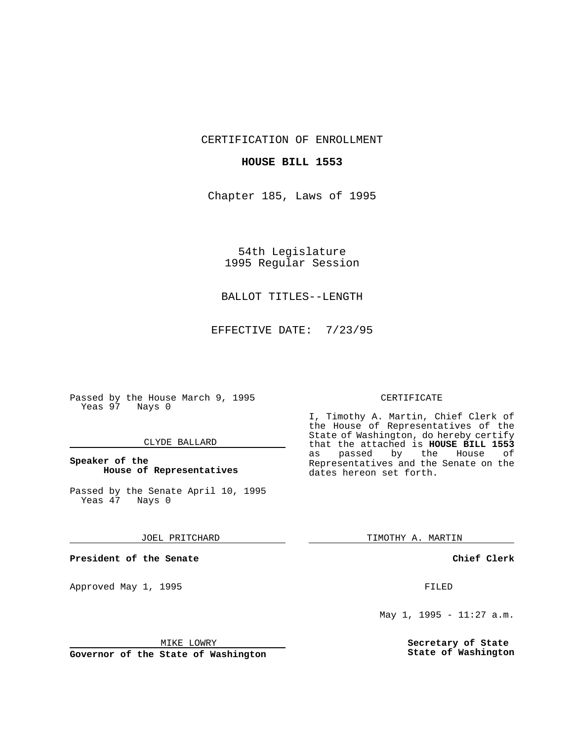CERTIFICATION OF ENROLLMENT

## **HOUSE BILL 1553**

Chapter 185, Laws of 1995

54th Legislature 1995 Regular Session

## BALLOT TITLES--LENGTH

EFFECTIVE DATE: 7/23/95

Passed by the House March 9, 1995 Yeas 97 Nays 0

#### CLYDE BALLARD

## **Speaker of the House of Representatives**

Passed by the Senate April 10, 1995<br>Yeas 47 Nays 0 Yeas 47

#### JOEL PRITCHARD

**President of the Senate**

Approved May 1, 1995 **FILED** 

#### MIKE LOWRY

**Governor of the State of Washington**

#### CERTIFICATE

I, Timothy A. Martin, Chief Clerk of the House of Representatives of the State of Washington, do hereby certify that the attached is **HOUSE BILL 1553** as passed by the House of Representatives and the Senate on the dates hereon set forth.

TIMOTHY A. MARTIN

### **Chief Clerk**

May 1, 1995 - 11:27 a.m.

**Secretary of State State of Washington**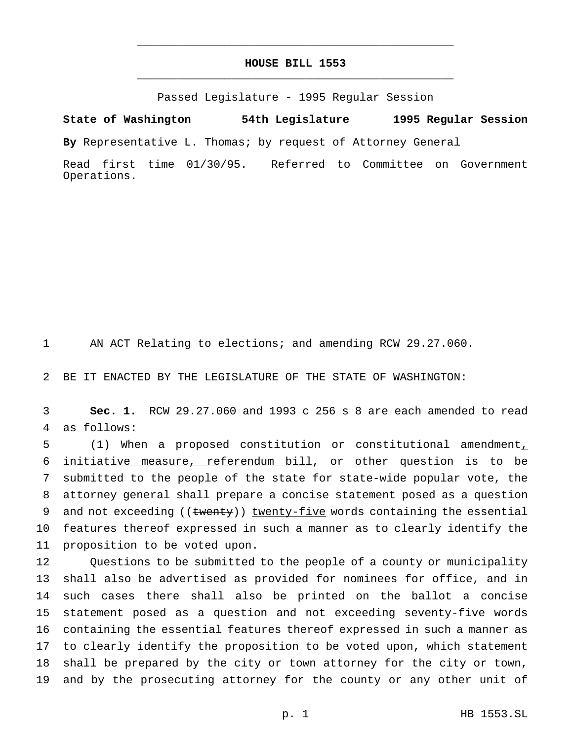# **HOUSE BILL 1553** \_\_\_\_\_\_\_\_\_\_\_\_\_\_\_\_\_\_\_\_\_\_\_\_\_\_\_\_\_\_\_\_\_\_\_\_\_\_\_\_\_\_\_\_\_\_\_

\_\_\_\_\_\_\_\_\_\_\_\_\_\_\_\_\_\_\_\_\_\_\_\_\_\_\_\_\_\_\_\_\_\_\_\_\_\_\_\_\_\_\_\_\_\_\_

Passed Legislature - 1995 Regular Session

**State of Washington 54th Legislature 1995 Regular Session**

**By** Representative L. Thomas; by request of Attorney General

Read first time 01/30/95. Referred to Committee on Government Operations.

AN ACT Relating to elections; and amending RCW 29.27.060.

BE IT ENACTED BY THE LEGISLATURE OF THE STATE OF WASHINGTON:

 **Sec. 1.** RCW 29.27.060 and 1993 c 256 s 8 are each amended to read as follows:

 (1) When a proposed constitution or constitutional amendment, initiative measure, referendum bill, or other question is to be submitted to the people of the state for state-wide popular vote, the attorney general shall prepare a concise statement posed as a question 9 and not exceeding  $((\text{~~wenty~~)) twenty-five words containing the essential$  features thereof expressed in such a manner as to clearly identify the proposition to be voted upon.

 Questions to be submitted to the people of a county or municipality shall also be advertised as provided for nominees for office, and in such cases there shall also be printed on the ballot a concise statement posed as a question and not exceeding seventy-five words containing the essential features thereof expressed in such a manner as to clearly identify the proposition to be voted upon, which statement shall be prepared by the city or town attorney for the city or town, and by the prosecuting attorney for the county or any other unit of